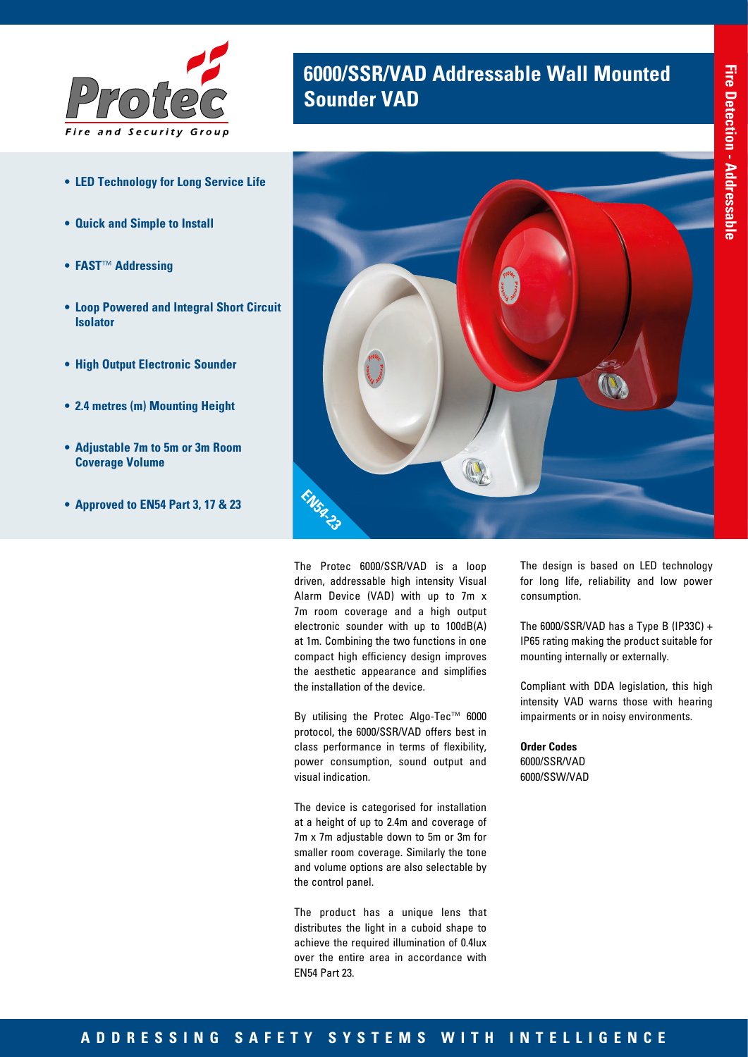

- **• LED Technology for Long Service Life**
- **• Quick and Simple to Install**
- **• FAST**™ **Addressing**
- **• Loop Powered and Integral Short Circuit Isolator**
- **• High Output Electronic Sounder**
- **• 2.4 metres (m) Mounting Height**
- **• Adjustable 7m to 5m or 3m Room Coverage Volume**
- **• Approved to EN54 Part 3, 17 & 23**

# **6000/SSR/VAD Addressable Wall Mounted Sounder VAD**



The Protec 6000/SSR/VAD is a loop driven, addressable high intensity Visual Alarm Device (VAD) with up to 7m x 7m room coverage and a high output electronic sounder with up to 100dB(A) at 1m. Combining the two functions in one compact high efficiency design improves the aesthetic appearance and simplifies the installation of the device.

By utilising the Protec Algo-Tec™ 6000 protocol, the 6000/SSR/VAD offers best in class performance in terms of flexibility, power consumption, sound output and visual indication.

The device is categorised for installation at a height of up to 2.4m and coverage of 7m x 7m adjustable down to 5m or 3m for smaller room coverage. Similarly the tone and volume options are also selectable by the control panel.

The product has a unique lens that distributes the light in a cuboid shape to achieve the required illumination of 0.4lux over the entire area in accordance with EN54 Part 23.

The design is based on LED technology for long life, reliability and low power consumption.

The  $6000/SSR/VAD$  has a Type B (IP33C) + IP65 rating making the product suitable for mounting internally or externally.

Compliant with DDA legislation, this high intensity VAD warns those with hearing impairments or in noisy environments.

**Order Codes** 6000/SSR/VAD 6000/SSW/VAD